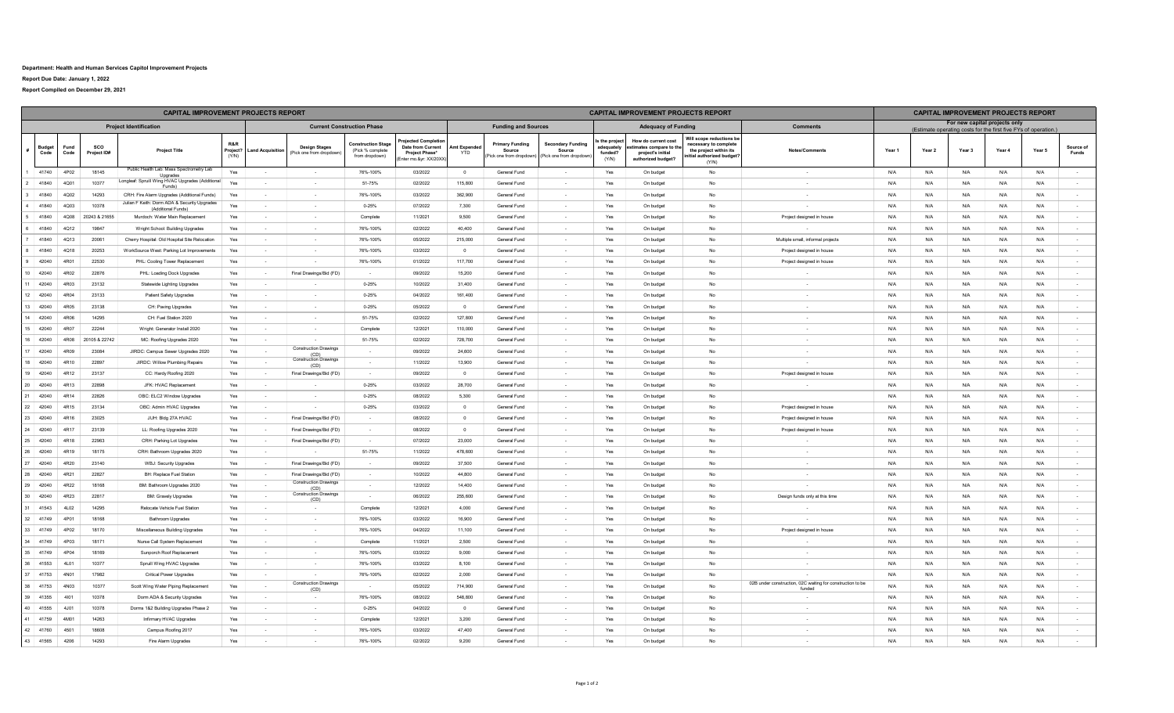## **Department: Health and Human Services Capitol Improvement Projects**

**Report Due Date: January 1, 2022**

**Report Compiled on December 29, 2021**

| <b>CAPITAL IMPROVEMENT PROJECTS REPORT</b>                         |  |              |                    |                                                                    |              |                           |                                                 |                                                                 |                                                                                   | <b>CAPITAL IMPROVEMENT PROJECTS REPORT</b> |                                                              |                                                               |                                              |                                                                                         |                                                                                                                   |                                                            | <b>CAPITAL IMPROVEMENT PROJECTS REPORT</b> |                               |          |        |        |                    |  |
|--------------------------------------------------------------------|--|--------------|--------------------|--------------------------------------------------------------------|--------------|---------------------------|-------------------------------------------------|-----------------------------------------------------------------|-----------------------------------------------------------------------------------|--------------------------------------------|--------------------------------------------------------------|---------------------------------------------------------------|----------------------------------------------|-----------------------------------------------------------------------------------------|-------------------------------------------------------------------------------------------------------------------|------------------------------------------------------------|--------------------------------------------|-------------------------------|----------|--------|--------|--------------------|--|
| <b>Project Identification</b><br><b>Current Construction Phase</b> |  |              |                    |                                                                    |              |                           |                                                 |                                                                 | <b>Funding and Sources</b>                                                        |                                            |                                                              | <b>Adequacy of Funding</b>                                    |                                              | <b>Comments</b>                                                                         | (Estimate operating costs for the first five FYs of operation.)                                                   |                                                            |                                            | For new capital projects only |          |        |        |                    |  |
| <b>Budget</b><br>Code                                              |  | Fund<br>Code | sco<br>Project ID# | <b>Project Title</b>                                               | R&R<br>(Y/N) | Project? Land Acquisition | <b>Design Stages</b><br>(Pick one from dropdown | <b>Construction Stage</b><br>(Pick % complete<br>from dropdown) | oiected Completio<br>Date from Current<br>Project Phase*<br>Inter mo.&vr: XX/20XX | mt Expende<br>YTD                          | <b>Primary Funding</b><br>Source<br>(Pick one from dropdown) | <b>Secondary Funding</b><br>Source<br>(Pick one from dropdown | the project<br>dequately<br>funded?<br>(Y/N) | How do current cost<br>imates compare to the<br>project's initial<br>authorized budget? | Will scope reductions be<br>necessary to complete<br>the project within its<br>nitial authorized budget?<br>(Y/N) | Notes/Comments                                             | Year 1                                     | Year 2                        | Year 3   | Year 4 | Year 5 | Source of<br>Funds |  |
| 41740                                                              |  | 4P02         | 18145              | Public Health Lab: Mass Spectrometry Lab<br>Upgrades               | Yes          | $\sim$                    |                                                 | 76%-100%                                                        | 03/2022                                                                           | $\overline{0}$                             | General Fund                                                 |                                                               | Yes                                          | On budget                                                                               | No                                                                                                                | $\sim$                                                     | N/A                                        | N/A                           | $N/\ell$ | N/A    | N/A    | $\sim$             |  |
| 41840                                                              |  | 4Q01         | 10377              | Longleaf: Spruill Wing HVAC Upgrades (Additional<br>Funds)         | Yes          | $\sim$                    | $\sim$ 10 $\sim$                                | 51-75%                                                          | 02/2022                                                                           | 115,800                                    | General Fund                                                 | $\sim$                                                        | Yes                                          | On budget                                                                               | No                                                                                                                | $\sim$                                                     | N/A                                        | N/A                           | N/A      | N/A    | N/A    | $\sim$             |  |
| 41840                                                              |  | 4Q02         | 14293              | CRH: Fire Alarm Upgrades (Additional Funds)                        | Yes          | $\sim$                    | $\sim$                                          | 76%-100%                                                        | 03/2022                                                                           | 362,900                                    | General Fund                                                 | $\sim$                                                        | Yes                                          | On budget                                                                               | No                                                                                                                | $\sim$                                                     | N/A                                        | N/A                           | N/A      | N/A    | N/A    | $\sim$             |  |
| 41840                                                              |  | 4003         | 10378              | Julian F Keith: Dorm ADA & Security Upgrades<br>(Additional Funds) | Yes          | $\sim$                    | $\sim$                                          | $0 - 25%$                                                       | 07/2022                                                                           | 7300                                       | General Fund                                                 | $\sim$                                                        | Yes                                          | On budget                                                                               | <b>No</b>                                                                                                         | $\sim$                                                     | N/A                                        | N/A                           | N/A      | N/A    | N/A    | $\sim$             |  |
| 41840                                                              |  | 4Q08         | 20243 & 21655      | Murdoch: Water Main Replacement                                    | Yes          | $\sim$                    |                                                 | Complete                                                        | 11/2021                                                                           | 9.500                                      | General Fund                                                 | $\overline{a}$                                                | Yes                                          | On budget                                                                               | No                                                                                                                | Project designed in house                                  | N/A                                        | N/A                           | N/A      | N/A    | N/A    | $\sim$             |  |
| 41840                                                              |  | 4Q12         | 19847              | Wright School: Building Upgrades                                   | Yes          | $\sim$                    | $\sim$                                          | 76%-100%                                                        | 02/2022                                                                           | 40.400                                     | General Fund                                                 | $\sim$                                                        | Yes                                          | On budget                                                                               | No                                                                                                                |                                                            | N/A                                        | N/A                           | N/A      | N/A    | N/A    | $\sim$             |  |
| 41840                                                              |  | 4Q13         | 20061              | Cherry Hospital: Old Hospital Site Relocation                      | Yes          | $\sim$                    | $\sim$ 10 $\sim$                                | 76%-100%                                                        | 05/2022                                                                           | 215,000                                    | General Fund                                                 | $\sim$                                                        | Yes                                          | On budget                                                                               | No                                                                                                                | Multiple small, informal projects                          | N/A                                        | N/A                           | $N/\ell$ | N/A    | N/A    | $\sim$             |  |
| 41840                                                              |  | 4018         | 20253              | WorkSource West: Parking Lot Improvements                          | Yes          | $\sim$                    | $\sim$                                          | 76%-100%                                                        | 03/2022                                                                           | $\Omega$                                   | <b>General Fund</b>                                          | $\sim$                                                        | Yes                                          | On budget                                                                               | No                                                                                                                | Project designed in house                                  | N/A                                        | N/A                           | N/A      | N/A    | N/A    | $\sim$             |  |
| 42040                                                              |  | 4R01         | 22530              | PHL: Cooling Tower Replacemen                                      | Yes          | $\sim$                    |                                                 | 76%-100%                                                        | 01/2022                                                                           | 117,700                                    | General Fund                                                 | $\sim$                                                        | Yes                                          | On budget                                                                               | No                                                                                                                | Project designed in house                                  | N/A                                        | N/A                           | N/A      | N/A    | N/A    | $\sim$             |  |
| 42040<br>$10 -$                                                    |  | 4R02         | 22876              | PHL: Loading Dock Upgrades                                         | Yes          | $\sim$                    | Final Drawings/Bid (FD)                         | $\sim$                                                          | 09/2022                                                                           | 15,200                                     | General Fund                                                 | $\sim$                                                        | Yes                                          | On budget                                                                               | No                                                                                                                |                                                            | N/A                                        | N/A                           | N/A      | N/A    | N/A    | $\sim$             |  |
| 42040                                                              |  | 4R03         | 23132              | Statewide Lighting Upgrades                                        | Yes          | $\sim$                    | $\sim$ $-$                                      | $0 - 25%$                                                       | 10/2022                                                                           | 31,400                                     | General Fund                                                 | $\sim$                                                        | Yes                                          | On budget                                                                               | No                                                                                                                | $\sim$                                                     | N/A                                        | N/A                           | N/A      | N/A    | N/A    | $\sim$             |  |
| 42040<br>12                                                        |  | 4R04         | 23133              | Patient Safety Upgrades                                            | Yes          | $\sim$                    |                                                 | $0 - 25%$                                                       | 04/2022                                                                           | 161 400                                    | <b>General Fund</b>                                          | $\sim$                                                        | Yes                                          | On budget                                                                               | No                                                                                                                | $\sim$                                                     | N/A                                        | N/A                           | N/A      | N/A    | N/A    | $\sim$             |  |
| 42040<br>13                                                        |  | 4R05         | 23138              | CH: Paving Upgrades                                                | Yes          | $\sim$                    | $\sim$                                          | $0 - 25%$                                                       | 05/2022                                                                           | $^{\circ}$                                 | <b>General Fund</b>                                          | $\sim$                                                        | Yes                                          | On budget                                                                               | No                                                                                                                | $\sim$                                                     | N/A                                        | N/A                           | N/A      | N/A    | N/A    | $\sim$             |  |
| 42040<br>14                                                        |  | 4R06         | 14295              | CH: Fuel Station 2020                                              | Yes          | $\sim$                    |                                                 | 51-75%                                                          | 02/2022                                                                           | 127,800                                    | General Fund                                                 | $\sim$                                                        | Yes                                          | On budget                                                                               | No                                                                                                                | $\sim$                                                     | N/A                                        | N/A                           | N/A      | N/A    | N/A    | $\sim$             |  |
| 15<br>42040                                                        |  | 4R07         | 22244              | Wright: Generator Install 2020                                     | Yes          | $\sim$                    | $\sim$                                          | Complete                                                        | 12/2021                                                                           | 110,000                                    | General Fund                                                 | $\sim$                                                        | Yes                                          | On budget                                                                               | No                                                                                                                | $\sim$                                                     | N/A                                        | N/A                           | N/A      | N/A    | N/A    | $\sim$             |  |
| 16<br>42040                                                        |  | 4R08         | 20105 & 22742      | MC: Roofing Upgrades 2020                                          | Yes          | $\sim$                    |                                                 | 51-75%                                                          | 02/2022                                                                           | 728,700                                    | General Fund                                                 | $\sim$                                                        | Yes                                          | On budget                                                                               | No                                                                                                                | $\sim$                                                     | N/A                                        | N/A                           | N/A      | N/A    | N/A    | $\sim$             |  |
| 42040                                                              |  | 4R09         | 23084              | JIRDC: Campus Sewer Upgrades 2020                                  | Yes          | $\sim$                    | <b>Construction Drawings</b><br>(CD)            | $\sim$                                                          | 09/2022                                                                           | 24,600                                     | <b>General Fund</b>                                          | $\sim$                                                        | Yes                                          | On budget                                                                               | No                                                                                                                | $\sim$                                                     | N/A                                        | N/A                           | N/A      | N/A    | N/A    | $\sim$             |  |
| 42040<br>18                                                        |  | 4R10         | 22897              | JIRDC: Willow Plumbing Repairs                                     | Yes          | $\sim$                    | <b>Construction Drawings</b><br>(CD)            | $\sim$ $-$                                                      | 11/2022                                                                           | 13,900                                     | General Fund                                                 | $\sim$                                                        | Yes                                          | On budget                                                                               | <b>No</b>                                                                                                         | $\sim$                                                     | N/A                                        | N/A                           | N/A      | N/A    | N/A    | $\sim$             |  |
| 19<br>42040                                                        |  | 4R12         | 23137              | CC: Hardy Roofing 2020                                             | Yes          | $\sim$                    | Final Drawings/Bid (FD)                         | $\sim$                                                          | 09/2022                                                                           | $\overline{0}$                             | General Fund                                                 | ÷                                                             | Yes                                          | On budget                                                                               | No                                                                                                                | Project designed in house                                  | N/A                                        | N/A                           | $N/\ell$ | N/A    | N/A    | $\sim$             |  |
| 20<br>42040                                                        |  | 4R13         | 22898              | JFK: HVAC Replacement                                              | Yes          | $\sim$                    |                                                 | $0 - 25%$                                                       | 03/2022                                                                           | 28,700                                     | General Fund                                                 | $\sim$                                                        | Yes                                          | On budget                                                                               | No                                                                                                                | $\sim$                                                     | N/A                                        | N/A                           | N/A      | N/A    | N/A    | $\sim$             |  |
| 42040                                                              |  | 4R14         | 22826              | OBC: ELC2 Window Upgrades                                          | Yes          | $\sim$                    |                                                 | 0-25%                                                           | 08/2022                                                                           | 5,300                                      | General Fund                                                 | $\sim$                                                        | Yes                                          | On budget                                                                               | No                                                                                                                |                                                            | N/A                                        | N/A                           | N/A      | N/A    | N/A    | $\sim$             |  |
| 42040<br>22                                                        |  | 4R15         | 23134              | OBC: Admin HVAC Upgrades                                           | Yes          | $\sim$                    |                                                 | $0 - 25%$                                                       | 03/2022                                                                           | $\Omega$                                   | <b>General Fund</b>                                          | $\sim$                                                        | Yes                                          | On budget                                                                               | No                                                                                                                | Project designed in house                                  | N/A                                        | N/A                           | N/A      | N/A    | N/A    | $\sim$             |  |
| 42040<br>23                                                        |  | 4R16         | 23025              | JUH: Bldg 27A HVAC                                                 | Yes          | $\sim$                    | Final Drawings/Bid (FD)                         | $\sim 100$                                                      | 08/2022                                                                           | $\Omega$                                   | <b>General Fund</b>                                          | $\sim$                                                        | Yes                                          | On budget                                                                               | <b>No</b>                                                                                                         | Project designed in house                                  | N/A                                        | N/A                           | N/A      | N/A    | N/A    | $\sim$             |  |
| 24<br>42040                                                        |  | 4R17         | 23139              | LL: Roofing Upgrades 2020                                          | Yes          | $\sim$                    | Final Drawings/Bid (FD)                         | $\sim$                                                          | 08/2022                                                                           | $\overline{0}$                             | General Fund                                                 | $\sim$                                                        | Yes                                          | On budget                                                                               | No                                                                                                                | Project designed in house                                  | N/A                                        | N/A                           | $N/\ell$ | N/A    | N/A    | $\sim$             |  |
| 42040<br>25                                                        |  | 4R18         | 22963              | CRH: Parking Lot Upgrades                                          | Yes          | $\overline{\phantom{a}}$  | Final Drawings/Bid (FD)                         | $\sim$                                                          | 07/2022                                                                           | 23,000                                     | General Fund                                                 |                                                               | Yes                                          | On budget                                                                               | No                                                                                                                |                                                            | N/A                                        | N/A                           | N/A      | N/A    | N/A    | $\sim$             |  |
| 26<br>42040                                                        |  | 4R19         | 18175              | CRH: Bathroom Upgrades 2020                                        | Yes          | $\sim$                    |                                                 | 51-75%                                                          | 11/2022                                                                           | 478,600                                    | General Fund                                                 | $\sim$                                                        | Yes                                          | On budget                                                                               | No                                                                                                                | $\sim$                                                     | N/A                                        | N/A                           | N/A      | N/A    | N/A    | $\sim$             |  |
| 27<br>42040                                                        |  | 4R20         | 23140              | WBJ: Security Upgrades                                             | Yes          | $\sim$                    | Final Drawings/Bid (FD)                         | $\sim 10^{-1}$                                                  | 09/2022                                                                           | 37.500                                     | <b>General Fund</b>                                          | $\sim$                                                        | Yes                                          | On budget                                                                               | No                                                                                                                | $\sim$                                                     | N/A                                        | N/A                           | N/A      | N/A    | N/A    | $\sim$             |  |
| 28<br>42040                                                        |  | 4R21         | 22827              | BH: Replace Fuel Station                                           | Yes          | <b>College</b>            | Final Drawings/Bid (FD)                         | $\sim 10^{-1}$                                                  | 10/2022                                                                           | 44,800                                     | General Fund                                                 | $\sim$                                                        | Yes                                          | On budget                                                                               | No                                                                                                                | $\sim 10^{-1}$                                             | N/A                                        | N/A                           | N/A      | N/A    | N/A    | $\sim$             |  |
| 29<br>42040                                                        |  | 4R22         | 18168              | BM: Bathroom Upgrades 2020                                         | Yes          | $\sim$                    | <b>Construction Drawings</b><br>(CD)            | $\sim$                                                          | 12/2022                                                                           | 14,400                                     | General Fund                                                 | $\sim$                                                        | Yes                                          | On budget                                                                               | No                                                                                                                |                                                            | N/A                                        | N/A                           | N/F      | N/A    | N/A    | $\sim$             |  |
| 42040<br>30                                                        |  | 4R23         | 22817              | <b>BM: Gravely Upgrades</b>                                        | Yes          | $\sim$                    | <b>Construction Drawings</b><br>(CD)            | $\sim$                                                          | 06/2022                                                                           | 255,600                                    | General Fund                                                 | $\mathcal{L}$                                                 | Yes                                          | On budget                                                                               | No                                                                                                                | Design funds only at this time                             | N/A                                        | N/A                           | N/A      | N/A    | N/A    | $\sim$             |  |
| 41543<br>31                                                        |  | 4L02         | 14295              | Relocate Vehicle Fuel Station                                      | Yes          | $\sim 10^{-1}$            | $\sim 10^{-1}$                                  | Complete                                                        | 12/2021                                                                           | 4,000                                      | General Fund                                                 | $\sim$                                                        | Yes                                          | On budget                                                                               | No                                                                                                                | $\sim$                                                     | N/A                                        | N/A                           | N/A      | N/A    | N/A    | $\sim$             |  |
| 41749<br>32                                                        |  | 4P01         | 18168              | <b>Bathroom Upgrades</b>                                           | Yes          | $\sim$                    |                                                 | 76%-100%                                                        | 03/2022                                                                           | 16,900                                     | <b>General Fund</b>                                          | $\sim$                                                        | Yes                                          | On budget                                                                               | No                                                                                                                | $\sim$                                                     | N/A                                        | N/A                           | N/A      | N/A    | N/A    | $\sim$             |  |
| 33 41749                                                           |  | 4P02         | 18170              | Miscellaneous Building Upgrades                                    | Yes          | $\sim$                    | $\sim$                                          | 76%-100%                                                        | 04/2022                                                                           | 11.100                                     | General Fund                                                 | $\sim$                                                        | Yes                                          | On budget                                                                               | No                                                                                                                | Project designed in house                                  | N/A                                        | N/A                           | N/A      | N/A    | N/A    | $\sim$             |  |
| 34<br>41749                                                        |  | 4P03         | 18171              | Nurse Call System Replacement                                      | Yes          | $\sim$                    |                                                 | Complete                                                        | 11/2021                                                                           | 2,500                                      | General Fund                                                 |                                                               | Yes                                          | On budget                                                                               | No                                                                                                                |                                                            | N/A                                        | N/A                           | N/A      | N/A    | N/A    | $\sim$             |  |
| 41749<br>35                                                        |  | 4P04         | 18169              | Sunporch Roof Replacement                                          | Yes          |                           |                                                 | 76%-100%                                                        | 03/2022                                                                           | 9,000                                      | General Fund                                                 | $\sim$                                                        | Yes                                          | On budget                                                                               | No                                                                                                                | $\sim$                                                     | N/A                                        | N/A                           | N/A      | N/A    | N/A    | $\sim$             |  |
| 41553<br>36                                                        |  | 4L01         | 10377              | Spruill Wing HVAC Upgrades                                         | Yes          | $\sim$                    | $\sim$                                          | 76%-100%                                                        | 03/2022                                                                           | 8,100                                      | <b>General Fund</b>                                          | $\sim$                                                        | Yes                                          | On budget                                                                               | No                                                                                                                | $\sim$                                                     | N/A                                        | N/A                           | N/A      | N/A    | N/A    | $\sim$             |  |
| 37<br>41753                                                        |  | 4N01         | 17982              | Critical Power Upgrades                                            | Yes          | $\sim$                    |                                                 | 76%-100%                                                        | 02/2022                                                                           | 2.000                                      | General Fund                                                 | $\sim$                                                        | Yes                                          | On budget                                                                               | No                                                                                                                | $\sim$                                                     | N/A                                        | N/A                           | N/A      | N/A    | N/A    | $\sim$             |  |
| 38<br>41753                                                        |  | 4N03         | 10377              | Scott Wing Water Piping Replacement                                | Yes          | $\sim$                    | <b>Construction Drawings</b>                    | $\sim 10^{-1}$                                                  | 05/2022                                                                           | 714 900                                    | General Fund                                                 | $\sim$                                                        | Yes                                          | On budget                                                                               | <b>No</b>                                                                                                         | 02B under construction, 02C waiting for construction to be | N/A                                        | N/A                           | N/A      | N/A    | N/A    | $\sim$             |  |
| 41355<br>39                                                        |  | 4101         | 10378              | Dorm ADA & Security Upgrades                                       | Yes          | $\sim$                    | (CD)                                            | 76%-100%                                                        | 08/2022                                                                           | 548,800                                    | General Fund                                                 |                                                               | Yes                                          | On budget                                                                               | No                                                                                                                | fundec                                                     | N/A                                        | N/A                           | N/A      | N/A    | N/A    | $\sim$             |  |
| 40<br>41555                                                        |  | 4J01         | 10378              | Dorms 1&2 Building Upgrades Phase 2                                | Yes          | $\sim$                    | $\sim 10^{-1}$                                  | $0 - 25%$                                                       | 04/2022                                                                           | $\mathbf 0$                                | General Fund                                                 | $\sim$                                                        | Yes                                          | On budget                                                                               | No                                                                                                                | $\sim$                                                     | N/A                                        | N/A                           | N/A      | N/A    | N/A    | $\sim$             |  |
| 41759<br>41                                                        |  | 4M01         | 14263              | Infirmary HVAC Upgrades                                            | Yes          | $\sim$                    |                                                 | Complete                                                        | 12/2021                                                                           | 3,200                                      | General Fund                                                 | $\sim$                                                        | Yes                                          | On budget                                                                               | No                                                                                                                | $\sim$                                                     | N/A                                        | N/A                           | N/A      | N/A    | N/A    | $\sim$             |  |
| 42 41760                                                           |  | 4501         | 18608              | Campus Roofing 2017                                                | Yes          | $\sim$ $-$                | $\sim 10^{-1}$                                  | 76%-100%                                                        | 03/2022                                                                           | 47400                                      | General Fund                                                 | $\sim$                                                        | Yes                                          | On budget                                                                               | No                                                                                                                | $\sim$                                                     | N/A                                        | N/A                           | N/A      | N/A    | N/A    | $\sim$             |  |
| 43 41565                                                           |  | 4206         | 14293              | Fire Alarm Upgrades                                                | Yes          | $\sim$                    |                                                 | 76%-100%                                                        | 02/2022                                                                           | 9,200                                      | <b>General Fund</b>                                          | $\sim$                                                        | Yes                                          | On budget                                                                               | No                                                                                                                | $\sim$                                                     | N/A                                        | N/A                           | N/A      | N/A    | N/A    | $\sim$             |  |
|                                                                    |  |              |                    |                                                                    |              |                           |                                                 |                                                                 |                                                                                   |                                            |                                                              |                                                               |                                              |                                                                                         |                                                                                                                   |                                                            |                                            |                               |          |        |        |                    |  |